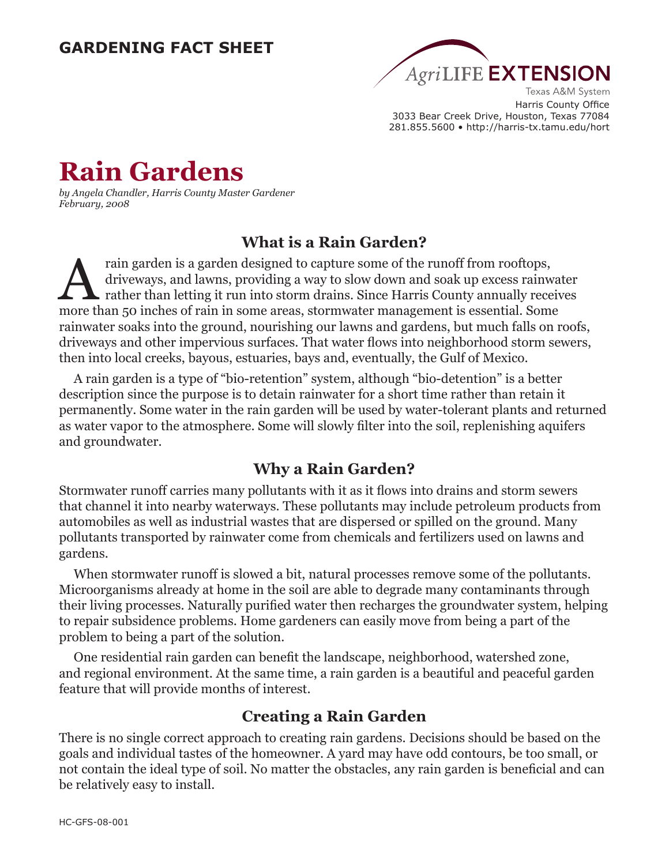# **GARDENING FACT SHEET**



Harris County Office 3033 Bear Creek Drive, Houston, Texas 77084 281.855.5600 • http://harris-tx.tamu.edu/hort

# **Rain Gardens**

*by Angela Chandler, Harris County Master Gardener February, 2008*

# **What is a Rain Garden?**

Frain garden is a garden designed to capture some of the runoff from rooftops,<br>driveways, and lawns, providing a way to slow down and soak up excess rainw<br>rather than letting it run into storm drains. Since Harris County a driveways, and lawns, providing a way to slow down and soak up excess rainwater rather than letting it run into storm drains. Since Harris County annually receives more than 50 inches of rain in some areas, stormwater management is essential. Some rainwater soaks into the ground, nourishing our lawns and gardens, but much falls on roofs, driveways and other impervious surfaces. That water flows into neighborhood storm sewers, then into local creeks, bayous, estuaries, bays and, eventually, the Gulf of Mexico.

A rain garden is a type of "bio-retention" system, although "bio-detention" is a better description since the purpose is to detain rainwater for a short time rather than retain it permanently. Some water in the rain garden will be used by water-tolerant plants and returned as water vapor to the atmosphere. Some will slowly filter into the soil, replenishing aquifers and groundwater.

## **Why a Rain Garden?**

Stormwater runoff carries many pollutants with it as it flows into drains and storm sewers that channel it into nearby waterways. These pollutants may include petroleum products from automobiles as well as industrial wastes that are dispersed or spilled on the ground. Many pollutants transported by rainwater come from chemicals and fertilizers used on lawns and gardens.

When stormwater runoff is slowed a bit, natural processes remove some of the pollutants. Microorganisms already at home in the soil are able to degrade many contaminants through their living processes. Naturally purified water then recharges the groundwater system, helping to repair subsidence problems. Home gardeners can easily move from being a part of the problem to being a part of the solution.

One residential rain garden can benefit the landscape, neighborhood, watershed zone, and regional environment. At the same time, a rain garden is a beautiful and peaceful garden feature that will provide months of interest.

## **Creating a Rain Garden**

There is no single correct approach to creating rain gardens. Decisions should be based on the goals and individual tastes of the homeowner. A yard may have odd contours, be too small, or not contain the ideal type of soil. No matter the obstacles, any rain garden is beneficial and can be relatively easy to install.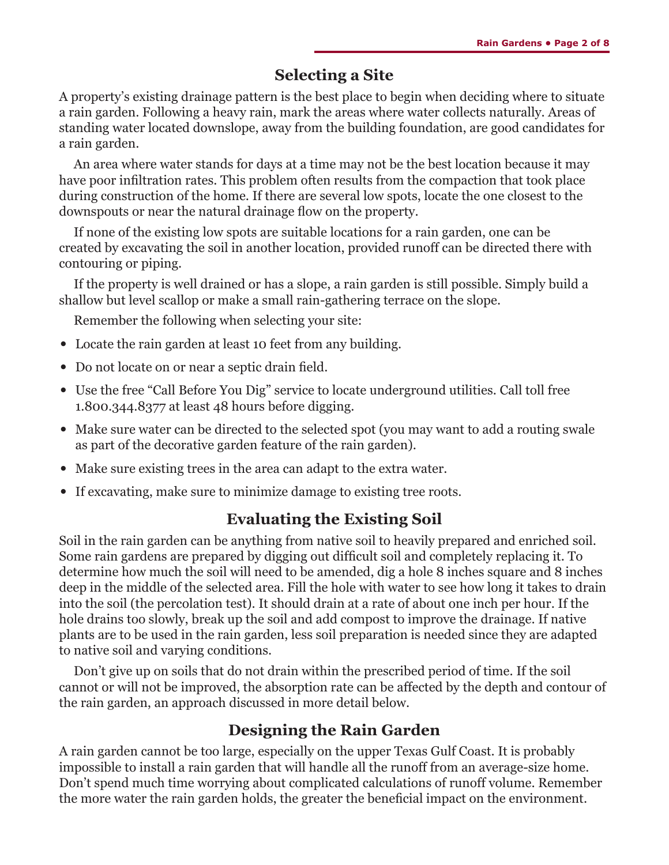# **Selecting a Site**

A property's existing drainage pattern is the best place to begin when deciding where to situate a rain garden. Following a heavy rain, mark the areas where water collects naturally. Areas of standing water located downslope, away from the building foundation, are good candidates for a rain garden.

An area where water stands for days at a time may not be the best location because it may have poor infiltration rates. This problem often results from the compaction that took place during construction of the home. If there are several low spots, locate the one closest to the downspouts or near the natural drainage flow on the property.

If none of the existing low spots are suitable locations for a rain garden, one can be created by excavating the soil in another location, provided runoff can be directed there with contouring or piping.

If the property is well drained or has a slope, a rain garden is still possible. Simply build a shallow but level scallop or make a small rain-gathering terrace on the slope.

Remember the following when selecting your site:

- **•** Locate the rain garden at least 10 feet from any building.
- Do not locate on or near a septic drain field.
- **•** Use the free "Call Before You Dig" service to locate underground utilities. Call toll free 1.800.344.8377 at least 48 hours before digging.
- Make sure water can be directed to the selected spot (you may want to add a routing swale as part of the decorative garden feature of the rain garden).
- **•** Make sure existing trees in the area can adapt to the extra water.
- **•** If excavating, make sure to minimize damage to existing tree roots.

# **Evaluating the Existing Soil**

Soil in the rain garden can be anything from native soil to heavily prepared and enriched soil. Some rain gardens are prepared by digging out difficult soil and completely replacing it. To determine how much the soil will need to be amended, dig a hole 8 inches square and 8 inches deep in the middle of the selected area. Fill the hole with water to see how long it takes to drain into the soil (the percolation test). It should drain at a rate of about one inch per hour. If the hole drains too slowly, break up the soil and add compost to improve the drainage. If native plants are to be used in the rain garden, less soil preparation is needed since they are adapted to native soil and varying conditions.

Don't give up on soils that do not drain within the prescribed period of time. If the soil cannot or will not be improved, the absorption rate can be affected by the depth and contour of the rain garden, an approach discussed in more detail below.

# **Designing the Rain Garden**

A rain garden cannot be too large, especially on the upper Texas Gulf Coast. It is probably impossible to install a rain garden that will handle all the runoff from an average-size home. Don't spend much time worrying about complicated calculations of runoff volume. Remember the more water the rain garden holds, the greater the beneficial impact on the environment.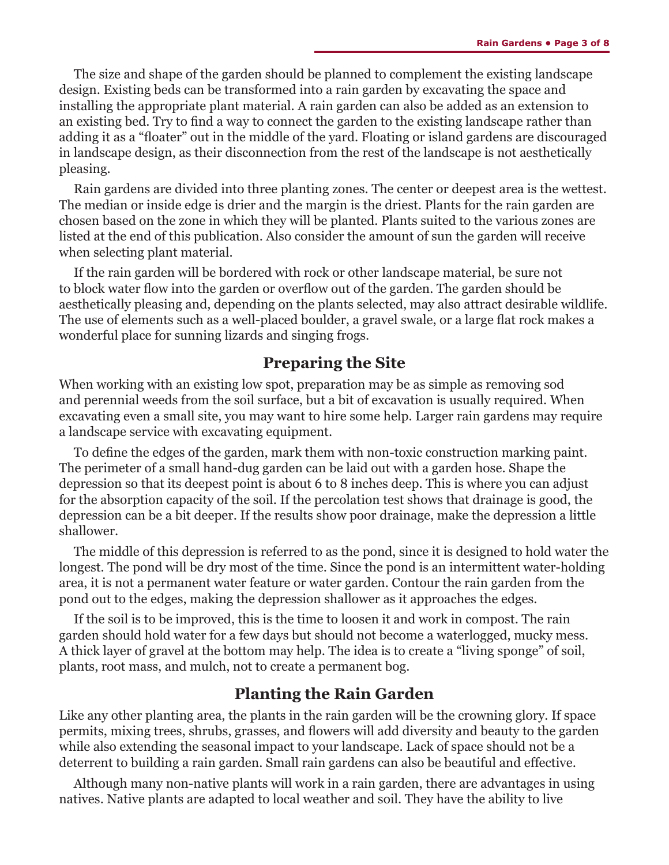The size and shape of the garden should be planned to complement the existing landscape design. Existing beds can be transformed into a rain garden by excavating the space and installing the appropriate plant material. A rain garden can also be added as an extension to an existing bed. Try to find a way to connect the garden to the existing landscape rather than adding it as a "floater" out in the middle of the yard. Floating or island gardens are discouraged in landscape design, as their disconnection from the rest of the landscape is not aesthetically pleasing.

Rain gardens are divided into three planting zones. The center or deepest area is the wettest. The median or inside edge is drier and the margin is the driest. Plants for the rain garden are chosen based on the zone in which they will be planted. Plants suited to the various zones are listed at the end of this publication. Also consider the amount of sun the garden will receive when selecting plant material.

If the rain garden will be bordered with rock or other landscape material, be sure not to block water flow into the garden or overflow out of the garden. The garden should be aesthetically pleasing and, depending on the plants selected, may also attract desirable wildlife. The use of elements such as a well-placed boulder, a gravel swale, or a large flat rock makes a wonderful place for sunning lizards and singing frogs.

#### **Preparing the Site**

When working with an existing low spot, preparation may be as simple as removing sod and perennial weeds from the soil surface, but a bit of excavation is usually required. When excavating even a small site, you may want to hire some help. Larger rain gardens may require a landscape service with excavating equipment.

To define the edges of the garden, mark them with non-toxic construction marking paint. The perimeter of a small hand-dug garden can be laid out with a garden hose. Shape the depression so that its deepest point is about 6 to 8 inches deep. This is where you can adjust for the absorption capacity of the soil. If the percolation test shows that drainage is good, the depression can be a bit deeper. If the results show poor drainage, make the depression a little shallower.

The middle of this depression is referred to as the pond, since it is designed to hold water the longest. The pond will be dry most of the time. Since the pond is an intermittent water-holding area, it is not a permanent water feature or water garden. Contour the rain garden from the pond out to the edges, making the depression shallower as it approaches the edges.

If the soil is to be improved, this is the time to loosen it and work in compost. The rain garden should hold water for a few days but should not become a waterlogged, mucky mess. A thick layer of gravel at the bottom may help. The idea is to create a "living sponge" of soil, plants, root mass, and mulch, not to create a permanent bog.

#### **Planting the Rain Garden**

Like any other planting area, the plants in the rain garden will be the crowning glory. If space permits, mixing trees, shrubs, grasses, and flowers will add diversity and beauty to the garden while also extending the seasonal impact to your landscape. Lack of space should not be a deterrent to building a rain garden. Small rain gardens can also be beautiful and effective.

Although many non-native plants will work in a rain garden, there are advantages in using natives. Native plants are adapted to local weather and soil. They have the ability to live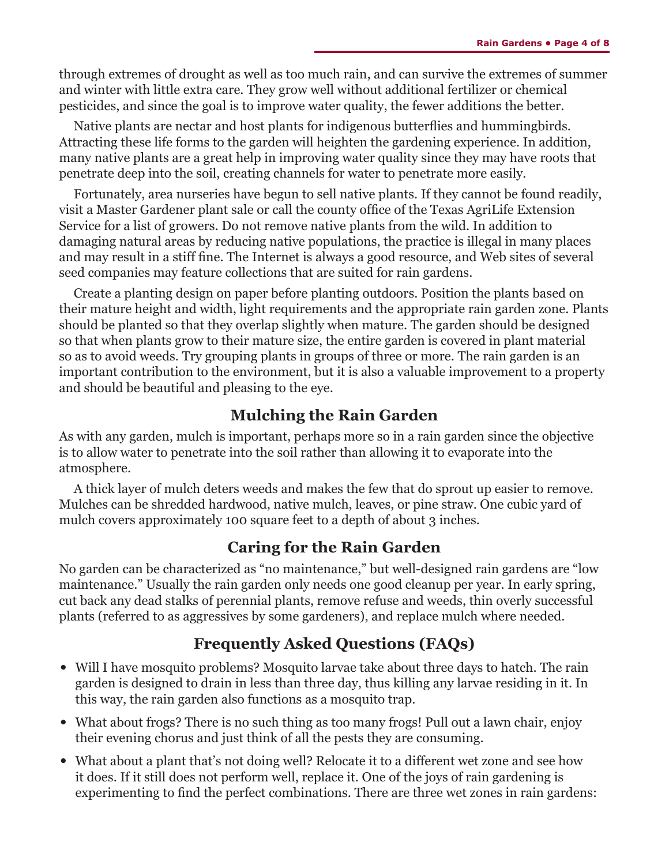through extremes of drought as well as too much rain, and can survive the extremes of summer and winter with little extra care. They grow well without additional fertilizer or chemical pesticides, and since the goal is to improve water quality, the fewer additions the better.

Native plants are nectar and host plants for indigenous butterflies and hummingbirds. Attracting these life forms to the garden will heighten the gardening experience. In addition, many native plants are a great help in improving water quality since they may have roots that penetrate deep into the soil, creating channels for water to penetrate more easily.

Fortunately, area nurseries have begun to sell native plants. If they cannot be found readily, visit a Master Gardener plant sale or call the county office of the Texas AgriLife Extension Service for a list of growers. Do not remove native plants from the wild. In addition to damaging natural areas by reducing native populations, the practice is illegal in many places and may result in a stiff fine. The Internet is always a good resource, and Web sites of several seed companies may feature collections that are suited for rain gardens.

Create a planting design on paper before planting outdoors. Position the plants based on their mature height and width, light requirements and the appropriate rain garden zone. Plants should be planted so that they overlap slightly when mature. The garden should be designed so that when plants grow to their mature size, the entire garden is covered in plant material so as to avoid weeds. Try grouping plants in groups of three or more. The rain garden is an important contribution to the environment, but it is also a valuable improvement to a property and should be beautiful and pleasing to the eye.

## **Mulching the Rain Garden**

As with any garden, mulch is important, perhaps more so in a rain garden since the objective is to allow water to penetrate into the soil rather than allowing it to evaporate into the atmosphere.

A thick layer of mulch deters weeds and makes the few that do sprout up easier to remove. Mulches can be shredded hardwood, native mulch, leaves, or pine straw. One cubic yard of mulch covers approximately 100 square feet to a depth of about 3 inches.

## **Caring for the Rain Garden**

No garden can be characterized as "no maintenance," but well-designed rain gardens are "low maintenance." Usually the rain garden only needs one good cleanup per year. In early spring, cut back any dead stalks of perennial plants, remove refuse and weeds, thin overly successful plants (referred to as aggressives by some gardeners), and replace mulch where needed.

# **Frequently Asked Questions (FAQs)**

- **•** Will I have mosquito problems? Mosquito larvae take about three days to hatch. The rain garden is designed to drain in less than three day, thus killing any larvae residing in it. In this way, the rain garden also functions as a mosquito trap.
- What about frogs? There is no such thing as too many frogs! Pull out a lawn chair, enjoy their evening chorus and just think of all the pests they are consuming.
- What about a plant that's not doing well? Relocate it to a different wet zone and see how it does. If it still does not perform well, replace it. One of the joys of rain gardening is experimenting to find the perfect combinations. There are three wet zones in rain gardens: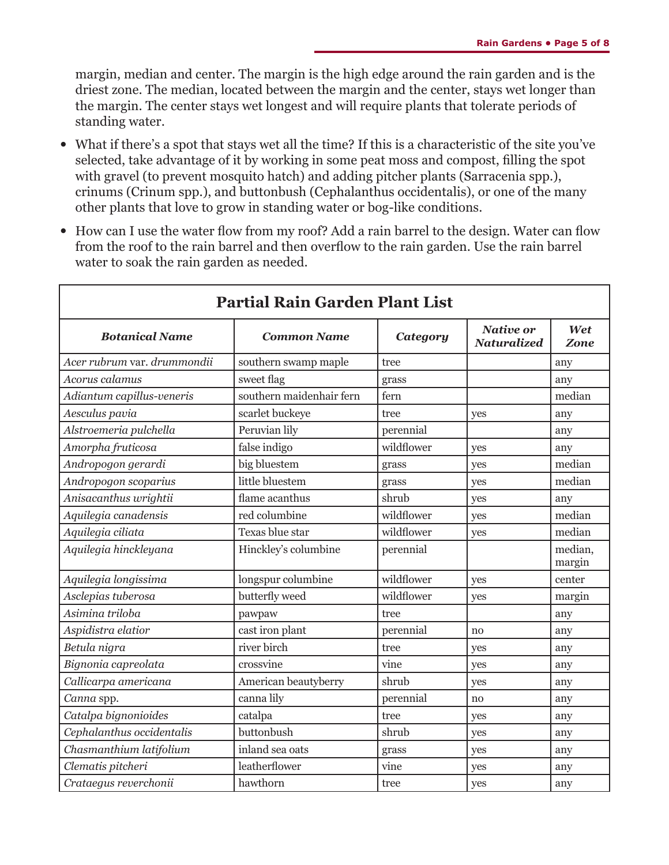margin, median and center. The margin is the high edge around the rain garden and is the driest zone. The median, located between the margin and the center, stays wet longer than the margin. The center stays wet longest and will require plants that tolerate periods of standing water.

- **•** What if there's a spot that stays wet all the time? If this is a characteristic of the site you've selected, take advantage of it by working in some peat moss and compost, filling the spot with gravel (to prevent mosquito hatch) and adding pitcher plants (Sarracenia spp.), crinums (Crinum spp.), and buttonbush (Cephalanthus occidentalis), or one of the many other plants that love to grow in standing water or bog-like conditions.
- **•** How can I use the water flow from my roof? Add a rain barrel to the design. Water can flow from the roof to the rain barrel and then overflow to the rain garden. Use the rain barrel water to soak the rain garden as needed.

Г

| <b>Partial Rain Garden Plant List</b> |                          |                 |                                        |                    |
|---------------------------------------|--------------------------|-----------------|----------------------------------------|--------------------|
| <b>Botanical Name</b>                 | <b>Common Name</b>       | <b>Category</b> | <b>Native or</b><br><b>Naturalized</b> | Wet<br><b>Zone</b> |
| Acer rubrum var. drummondii           | southern swamp maple     | tree            |                                        | any                |
| Acorus calamus                        | sweet flag               | grass           |                                        | any                |
| Adiantum capillus-veneris             | southern maidenhair fern | fern            |                                        | median             |
| Aesculus pavia                        | scarlet buckeye          | tree            | yes                                    | any                |
| Alstroemeria pulchella                | Peruvian lily            | perennial       |                                        | any                |
| Amorpha fruticosa                     | false indigo             | wildflower      | yes                                    | any                |
| Andropogon gerardi                    | big bluestem             | grass           | yes                                    | median             |
| Andropogon scoparius                  | little bluestem          | grass           | yes                                    | median             |
| Anisacanthus wrightii                 | flame acanthus           | shrub           | yes                                    | any                |
| Aquilegia canadensis                  | red columbine            | wildflower      | yes                                    | median             |
| Aquilegia ciliata                     | Texas blue star          | wildflower      | yes                                    | median             |
| Aquilegia hinckleyana                 | Hinckley's columbine     | perennial       |                                        | median,<br>margin  |
| Aquilegia longissima                  | longspur columbine       | wildflower      | yes                                    | center             |
| Asclepias tuberosa                    | butterfly weed           | wildflower      | yes                                    | margin             |
| Asimina triloba                       | pawpaw                   | tree            |                                        | any                |
| Aspidistra elatior                    | cast iron plant          | perennial       | no                                     | any                |
| Betula nigra                          | river birch              | tree            | yes                                    | any                |
| Bignonia capreolata                   | crossvine                | vine            | yes                                    | any                |
| Callicarpa americana                  | American beautyberry     | shrub           | yes                                    | any                |
| Canna spp.                            | canna lily               | perennial       | no                                     | any                |
| Catalpa bignonioides                  | catalpa                  | tree            | yes                                    | any                |
| Cephalanthus occidentalis             | buttonbush               | shrub           | yes                                    | any                |
| Chasmanthium latifolium               | inland sea oats          | grass           | yes                                    | any                |
| Clematis pitcheri                     | leatherflower            | vine            | yes                                    | any                |
| Crataegus reverchonii                 | hawthorn                 | tree            | yes                                    | any                |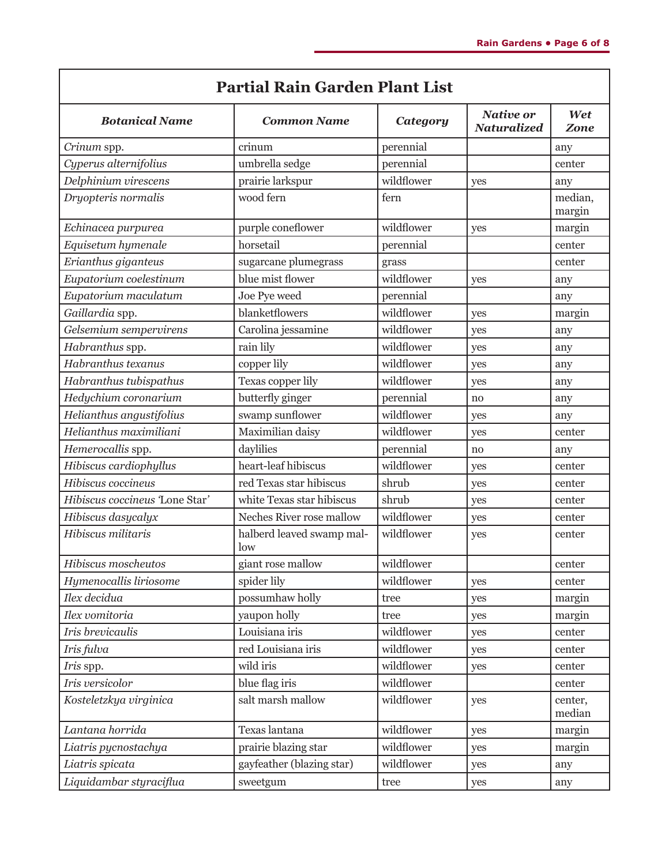| <b>Partial Rain Garden Plant List</b> |                                  |                 |                                        |                   |
|---------------------------------------|----------------------------------|-----------------|----------------------------------------|-------------------|
| <b>Botanical Name</b>                 | <b>Common Name</b>               | <b>Category</b> | <b>Native or</b><br><b>Naturalized</b> | Wet<br>Zone       |
| Crinum spp.                           | crinum                           | perennial       |                                        | any               |
| Cyperus alternifolius                 | umbrella sedge                   | perennial       |                                        | center            |
| Delphinium virescens                  | prairie larkspur                 | wildflower      | yes                                    | any               |
| Dryopteris normalis                   | wood fern                        | fern            |                                        | median,<br>margin |
| Echinacea purpurea                    | purple coneflower                | wildflower      | yes                                    | margin            |
| Equisetum hymenale                    | horsetail                        | perennial       |                                        | center            |
| Erianthus giganteus                   | sugarcane plumegrass             | grass           |                                        | center            |
| Eupatorium coelestinum                | blue mist flower                 | wildflower      | yes                                    | any               |
| Eupatorium maculatum                  | Joe Pye weed                     | perennial       |                                        | any               |
| Gaillardia spp.                       | blanketflowers                   | wildflower      | yes                                    | margin            |
| Gelsemium sempervirens                | Carolina jessamine               | wildflower      | yes                                    | any               |
| Habranthus spp.                       | rain lily                        | wildflower      | yes                                    | any               |
| Habranthus texanus                    | copper lily                      | wildflower      | yes                                    | any               |
| Habranthus tubispathus                | Texas copper lily                | wildflower      | yes                                    | any               |
| Hedychium coronarium                  | butterfly ginger                 | perennial       | no                                     | any               |
| Helianthus angustifolius              | swamp sunflower                  | wildflower      | yes                                    | any               |
| Helianthus maximiliani                | Maximilian daisy                 | wildflower      | yes                                    | center            |
| Hemerocallis spp.                     | daylilies                        | perennial       | no                                     | any               |
| Hibiscus cardiophyllus                | heart-leaf hibiscus              | wildflower      | yes                                    | center            |
| Hibiscus coccineus                    | red Texas star hibiscus          | shrub           | yes                                    | center            |
| Hibiscus coccineus 'Lone Star'        | white Texas star hibiscus        | shrub           | yes                                    | center            |
| Hibiscus dasycalyx                    | Neches River rose mallow         | wildflower      | yes                                    | center            |
| Hibiscus militaris                    | halberd leaved swamp mal-<br>low | wildflower      | yes                                    | center            |
| Hibiscus moscheutos                   | giant rose mallow                | wildflower      |                                        | center            |
| Hymenocallis liriosome                | spider lily                      | wildflower      | yes                                    | center            |
| Ilex decidua                          | possumhaw holly                  | tree            | yes                                    | margin            |
| Ilex vomitoria                        | yaupon holly                     | tree            | yes                                    | margin            |
| Iris brevicaulis                      | Louisiana iris                   | wildflower      | yes                                    | center            |
| Iris fulva                            | red Louisiana iris               | wildflower      | yes                                    | center            |
| Iris spp.                             | wild iris                        | wildflower      | yes                                    | center            |
| Iris versicolor                       | blue flag iris                   | wildflower      |                                        | center            |
| Kosteletzkya virginica                | salt marsh mallow                | wildflower      | yes                                    | center,<br>median |
| Lantana horrida                       | Texas lantana                    | wildflower      | yes                                    | margin            |
| Liatris pycnostachya                  | prairie blazing star             | wildflower      | yes                                    | margin            |
| Liatris spicata                       | gayfeather (blazing star)        | wildflower      | yes                                    | any               |
| Liquidambar styraciflua               | sweetgum                         | tree            | yes                                    | any               |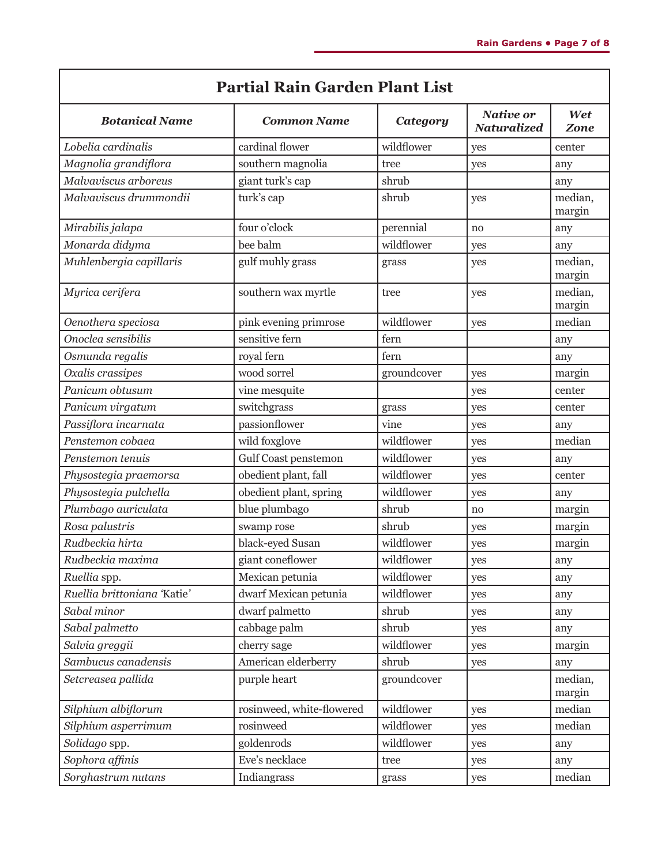| <b>Partial Rain Garden Plant List</b> |                           |             |                                        |                   |
|---------------------------------------|---------------------------|-------------|----------------------------------------|-------------------|
| <b>Botanical Name</b>                 | <b>Common Name</b>        | Category    | <b>Native or</b><br><b>Naturalized</b> | Wet<br>Zone       |
| Lobelia cardinalis                    | cardinal flower           | wildflower  | yes                                    | center            |
| Magnolia grandiflora                  | southern magnolia         | tree        | yes                                    | any               |
| Malvaviscus arboreus                  | giant turk's cap          | shrub       |                                        | any               |
| Malvaviscus drummondii                | turk's cap                | shrub       | yes                                    | median,<br>margin |
| Mirabilis jalapa                      | four o'clock              | perennial   | no                                     | any               |
| Monarda didyma                        | bee balm                  | wildflower  | yes                                    | any               |
| Muhlenbergia capillaris               | gulf muhly grass          | grass       | yes                                    | median,<br>margin |
| Myrica cerifera                       | southern wax myrtle       | tree        | yes                                    | median,<br>margin |
| Oenothera speciosa                    | pink evening primrose     | wildflower  | yes                                    | median            |
| Onoclea sensibilis                    | sensitive fern            | fern        |                                        | any               |
| Osmunda regalis                       | royal fern                | fern        |                                        | any               |
| Oxalis crassipes                      | wood sorrel               | groundcover | yes                                    | margin            |
| Panicum obtusum                       | vine mesquite             |             | yes                                    | center            |
| Panicum virgatum                      | switchgrass               | grass       | yes                                    | center            |
| Passiflora incarnata                  | passionflower             | vine        | yes                                    | any               |
| Penstemon cobaea                      | wild foxglove             | wildflower  | yes                                    | median            |
| Penstemon tenuis                      | Gulf Coast penstemon      | wildflower  | yes                                    | any               |
| Physostegia praemorsa                 | obedient plant, fall      | wildflower  | yes                                    | center            |
| Physostegia pulchella                 | obedient plant, spring    | wildflower  | yes                                    | any               |
| Plumbago auriculata                   | blue plumbago             | shrub       | no                                     | margin            |
| Rosa palustris                        | swamp rose                | shrub       | yes                                    | margin            |
| Rudbeckia hirta                       | black-eyed Susan          | wildflower  | yes                                    | margin            |
| Rudbeckia maxima                      | giant coneflower          | wildflower  | yes                                    | any               |
| Ruellia spp.                          | Mexican petunia           | wildflower  | yes                                    | any               |
| Ruellia brittoniana 'Katie'           | dwarf Mexican petunia     | wildflower  | yes                                    | any               |
| Sabal minor                           | dwarf palmetto            | shrub       | yes                                    | any               |
| Sabal palmetto                        | cabbage palm              | shrub       | yes                                    | any               |
| Salvia greggii                        | cherry sage               | wildflower  | yes                                    | margin            |
| Sambucus canadensis                   | American elderberry       | shrub       | yes                                    | any               |
| Setcreasea pallida                    | purple heart              | groundcover |                                        | median,<br>margin |
| Silphium albiflorum                   | rosinweed, white-flowered | wildflower  | yes                                    | median            |
| Silphium asperrimum                   | rosinweed                 | wildflower  | yes                                    | median            |
| Solidago spp.                         | goldenrods                | wildflower  | yes                                    | any               |
| Sophora affinis                       | Eve's necklace            | tree        | yes                                    | any               |
| Sorghastrum nutans                    | Indiangrass               | grass       | yes                                    | median            |